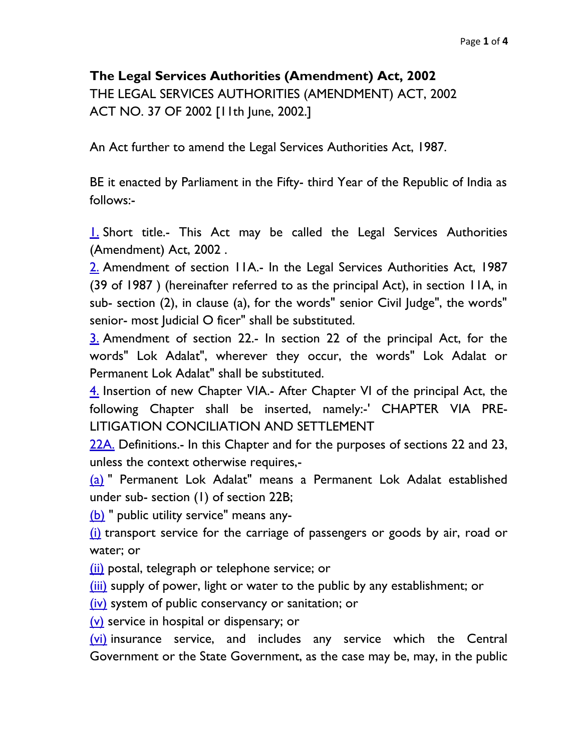## **The Legal Services Authorities (Amendment) Act, 2002**

THE LEGAL SERVICES AUTHORITIES (AMENDMENT) ACT, 2002 ACT NO. 37 OF 2002 [11th June, 2002.]

An Act further to amend the Legal Services Authorities Act, 1987.

BE it enacted by Parliament in the Fifty- third Year of the Republic of India as follows:-

[1.](http://indiankanoon.org/doc/259077/) Short title.- This Act may be called the Legal Services Authorities (Amendment) Act, 2002 .

[2.](http://indiankanoon.org/doc/199433/) Amendment of section 11A.- In the Legal Services Authorities Act, 1987 (39 of 1987 ) (hereinafter referred to as the principal Act), in section 11A, in sub- section (2), in clause (a), for the words" senior Civil Judge", the words" senior- most Judicial O ficer" shall be substituted.

[3.](http://indiankanoon.org/doc/73718/) Amendment of section 22.- In section 22 of the principal Act, for the words" Lok Adalat", wherever they occur, the words" Lok Adalat or Permanent Lok Adalat" shall be substituted.

[4.](http://indiankanoon.org/doc/1369355/) Insertion of new Chapter VIA.- After Chapter VI of the principal Act, the following Chapter shall be inserted, namely:-' CHAPTER VIA PRE-LITIGATION CONCILIATION AND SETTLEMENT

[22A.](http://indiankanoon.org/doc/1603124/) Definitions.- In this Chapter and for the purposes of sections 22 and 23, unless the context otherwise requires,-

[\(a\)](http://indiankanoon.org/doc/1205175/) " Permanent Lok Adalat" means a Permanent Lok Adalat established under sub- section (1) of section 22B;

[\(b\)](http://indiankanoon.org/doc/1014787/) " public utility service" means any-

[\(i\)](http://indiankanoon.org/doc/781993/) transport service for the carriage of passengers or goods by air, road or water; or

[\(ii\)](http://indiankanoon.org/doc/722801/) postal, telegraph or telephone service; or

[\(iii\)](http://indiankanoon.org/doc/343059/) supply of power, light or water to the public by any establishment; or

 $(iv)$  system of public conservancy or sanitation; or

[\(v\)](http://indiankanoon.org/doc/854270/) service in hospital or dispensary; or

[\(vi\)](http://indiankanoon.org/doc/1452895/) insurance service, and includes any service which the Central Government or the State Government, as the case may be, may, in the public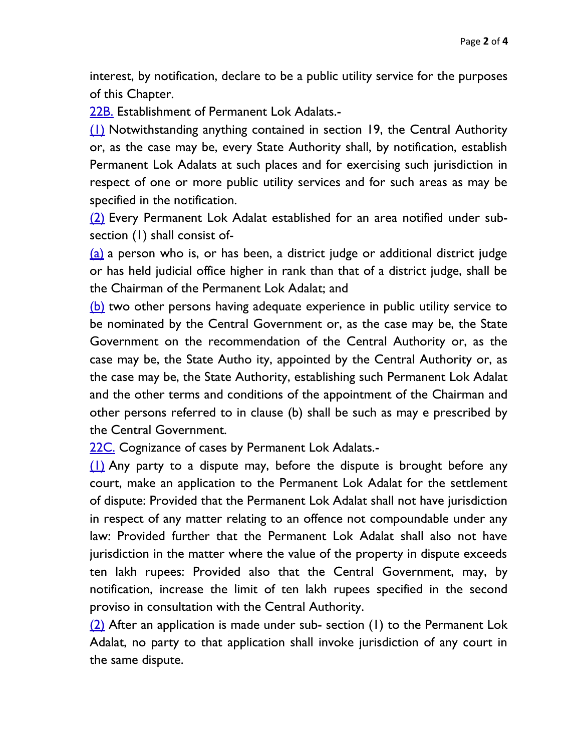interest, by notification, declare to be a public utility service for the purposes of this Chapter.

[22B.](http://indiankanoon.org/doc/1284933/) Establishment of Permanent Lok Adalats.-

[\(1\)](http://indiankanoon.org/doc/491237/) Notwithstanding anything contained in section 19, the Central Authority or, as the case may be, every State Authority shall, by notification, establish Permanent Lok Adalats at such places and for exercising such jurisdiction in respect of one or more public utility services and for such areas as may be specified in the notification.

[\(2\)](http://indiankanoon.org/doc/1015737/) Every Permanent Lok Adalat established for an area notified under subsection (1) shall consist of-

[\(a\)](http://indiankanoon.org/doc/653148/) a person who is, or has been, a district judge or additional district judge or has held judicial office higher in rank than that of a district judge, shall be the Chairman of the Permanent Lok Adalat; and

[\(b\)](http://indiankanoon.org/doc/626486/) two other persons having adequate experience in public utility service to be nominated by the Central Government or, as the case may be, the State Government on the recommendation of the Central Authority or, as the case may be, the State Autho ity, appointed by the Central Authority or, as the case may be, the State Authority, establishing such Permanent Lok Adalat and the other terms and conditions of the appointment of the Chairman and other persons referred to in clause (b) shall be such as may e prescribed by the Central Government.

[22C.](http://indiankanoon.org/doc/1991169/) Cognizance of cases by Permanent Lok Adalats.-

[\(1\)](http://indiankanoon.org/doc/769950/) Any party to a dispute may, before the dispute is brought before any court, make an application to the Permanent Lok Adalat for the settlement of dispute: Provided that the Permanent Lok Adalat shall not have jurisdiction in respect of any matter relating to an offence not compoundable under any law: Provided further that the Permanent Lok Adalat shall also not have jurisdiction in the matter where the value of the property in dispute exceeds ten lakh rupees: Provided also that the Central Government, may, by notification, increase the limit of ten lakh rupees specified in the second proviso in consultation with the Central Authority.

[\(2\)](http://indiankanoon.org/doc/569622/) After an application is made under sub- section (1) to the Permanent Lok Adalat, no party to that application shall invoke jurisdiction of any court in the same dispute.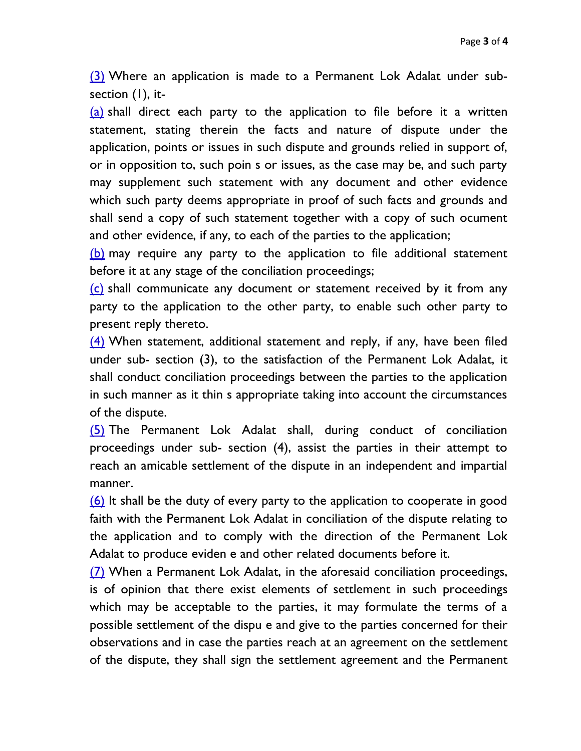[\(3\)](http://indiankanoon.org/doc/92527/) Where an application is made to a Permanent Lok Adalat under subsection (1), it-

[\(a\)](http://indiankanoon.org/doc/1356951/) shall direct each party to the application to file before it a written statement, stating therein the facts and nature of dispute under the application, points or issues in such dispute and grounds relied in support of, or in opposition to, such poin s or issues, as the case may be, and such party may supplement such statement with any document and other evidence which such party deems appropriate in proof of such facts and grounds and shall send a copy of such statement together with a copy of such ocument and other evidence, if any, to each of the parties to the application;

[\(b\)](http://indiankanoon.org/doc/503101/) may require any party to the application to file additional statement before it at any stage of the conciliation proceedings;

 $(c)$  shall communicate any document or statement received by it from any party to the application to the other party, to enable such other party to present reply thereto.

[\(4\)](http://indiankanoon.org/doc/1887947/) When statement, additional statement and reply, if any, have been filed under sub- section (3), to the satisfaction of the Permanent Lok Adalat, it shall conduct conciliation proceedings between the parties to the application in such manner as it thin s appropriate taking into account the circumstances of the dispute.

[\(5\)](http://indiankanoon.org/doc/1658333/) The Permanent Lok Adalat shall, during conduct of conciliation proceedings under sub- section (4), assist the parties in their attempt to reach an amicable settlement of the dispute in an independent and impartial manner.

[\(6\)](http://indiankanoon.org/doc/1079206/) It shall be the duty of every party to the application to cooperate in good faith with the Permanent Lok Adalat in conciliation of the dispute relating to the application and to comply with the direction of the Permanent Lok Adalat to produce eviden e and other related documents before it.

[\(7\)](http://indiankanoon.org/doc/69534/) When a Permanent Lok Adalat, in the aforesaid conciliation proceedings, is of opinion that there exist elements of settlement in such proceedings which may be acceptable to the parties, it may formulate the terms of a possible settlement of the dispu e and give to the parties concerned for their observations and in case the parties reach at an agreement on the settlement of the dispute, they shall sign the settlement agreement and the Permanent